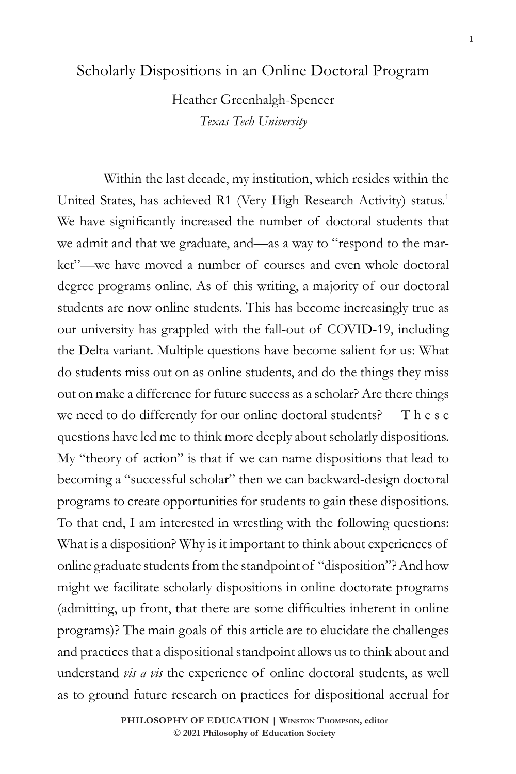## Scholarly Dispositions in an Online Doctoral Program

Heather Greenhalgh-Spencer *Texas Tech University*

 Within the last decade, my institution, which resides within the United States, has achieved R1 (Very High Research Activity) status.1 We have significantly increased the number of doctoral students that we admit and that we graduate, and—as a way to "respond to the market"—we have moved a number of courses and even whole doctoral degree programs online. As of this writing, a majority of our doctoral students are now online students. This has become increasingly true as our university has grappled with the fall-out of COVID-19, including the Delta variant. Multiple questions have become salient for us: What do students miss out on as online students, and do the things they miss out on make a difference for future success as a scholar? Are there things we need to do differently for our online doctoral students? T h e s e questions have led me to think more deeply about scholarly dispositions. My "theory of action" is that if we can name dispositions that lead to becoming a "successful scholar" then we can backward-design doctoral programs to create opportunities for students to gain these dispositions. To that end, I am interested in wrestling with the following questions: What is a disposition? Why is it important to think about experiences of online graduate students from the standpoint of "disposition"? And how might we facilitate scholarly dispositions in online doctorate programs (admitting, up front, that there are some difficulties inherent in online programs)? The main goals of this article are to elucidate the challenges and practices that a dispositional standpoint allows us to think about and understand *vis a vis* the experience of online doctoral students, as well as to ground future research on practices for dispositional accrual for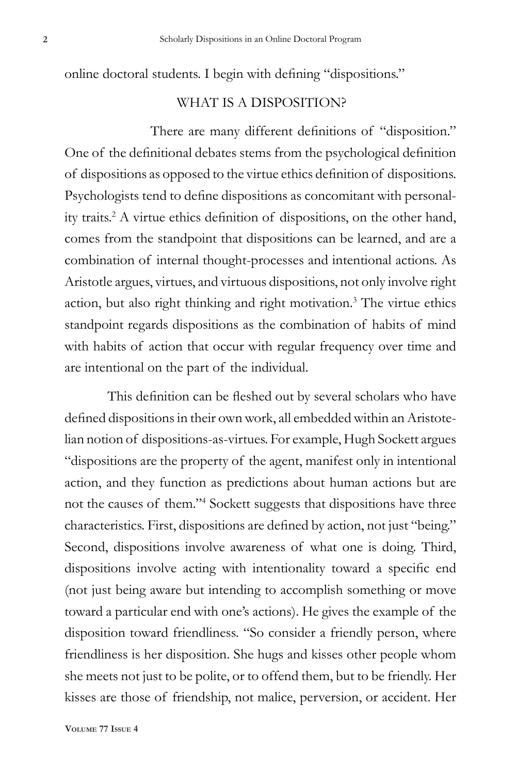online doctoral students. I begin with defining "dispositions."

### WHAT IS A DISPOSITION?

There are many different definitions of "disposition." One of the definitional debates stems from the psychological definition of dispositions as opposed to the virtue ethics definition of dispositions. Psychologists tend to define dispositions as concomitant with personality traits.2 A virtue ethics definition of dispositions, on the other hand, comes from the standpoint that dispositions can be learned, and are a combination of internal thought-processes and intentional actions. As Aristotle argues, virtues, and virtuous dispositions, not only involve right action, but also right thinking and right motivation.<sup>3</sup> The virtue ethics standpoint regards dispositions as the combination of habits of mind with habits of action that occur with regular frequency over time and are intentional on the part of the individual.

This definition can be fleshed out by several scholars who have defined dispositions in their own work, all embedded within an Aristotelian notion of dispositions-as-virtues. For example, Hugh Sockett argues "dispositions are the property of the agent, manifest only in intentional action, and they function as predictions about human actions but are not the causes of them."<sup>4</sup> Sockett suggests that dispositions have three characteristics. First, dispositions are defined by action, not just "being." Second, dispositions involve awareness of what one is doing. Third, dispositions involve acting with intentionality toward a specific end (not just being aware but intending to accomplish something or move toward a particular end with one's actions). He gives the example of the disposition toward friendliness. "So consider a friendly person, where friendliness is her disposition. She hugs and kisses other people whom she meets not just to be polite, or to offend them, but to be friendly. Her kisses are those of friendship, not malice, perversion, or accident. Her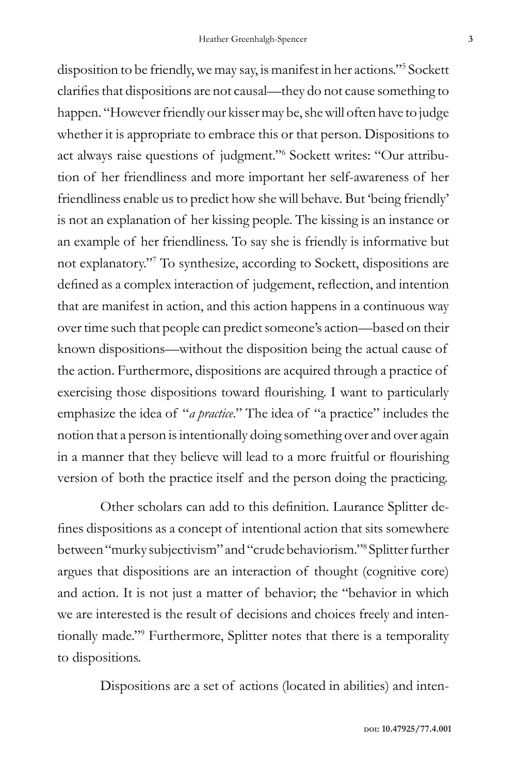disposition to be friendly, we may say, is manifest in her actions."<sup>5</sup> Sockett clarifies that dispositions are not causal—they do not cause something to happen. "However friendly our kisser may be, she will often have to judge whether it is appropriate to embrace this or that person. Dispositions to act always raise questions of judgment."<sup>6</sup> Sockett writes: "Our attribution of her friendliness and more important her self-awareness of her friendliness enable us to predict how she will behave. But 'being friendly' is not an explanation of her kissing people. The kissing is an instance or an example of her friendliness. To say she is friendly is informative but not explanatory."<sup>7</sup> To synthesize, according to Sockett, dispositions are defined as a complex interaction of judgement, reflection, and intention that are manifest in action, and this action happens in a continuous way over time such that people can predict someone's action—based on their known dispositions—without the disposition being the actual cause of the action. Furthermore, dispositions are acquired through a practice of exercising those dispositions toward flourishing. I want to particularly emphasize the idea of "*a practice*." The idea of "a practice" includes the notion that a person is intentionally doing something over and over again in a manner that they believe will lead to a more fruitful or flourishing version of both the practice itself and the person doing the practicing.

Other scholars can add to this definition. Laurance Splitter defines dispositions as a concept of intentional action that sits somewhere between "murky subjectivism" and "crude behaviorism."<sup>8</sup> Splitter further argues that dispositions are an interaction of thought (cognitive core) and action. It is not just a matter of behavior; the "behavior in which we are interested is the result of decisions and choices freely and intentionally made."<sup>9</sup> Furthermore, Splitter notes that there is a temporality to dispositions.

Dispositions are a set of actions (located in abilities) and inten-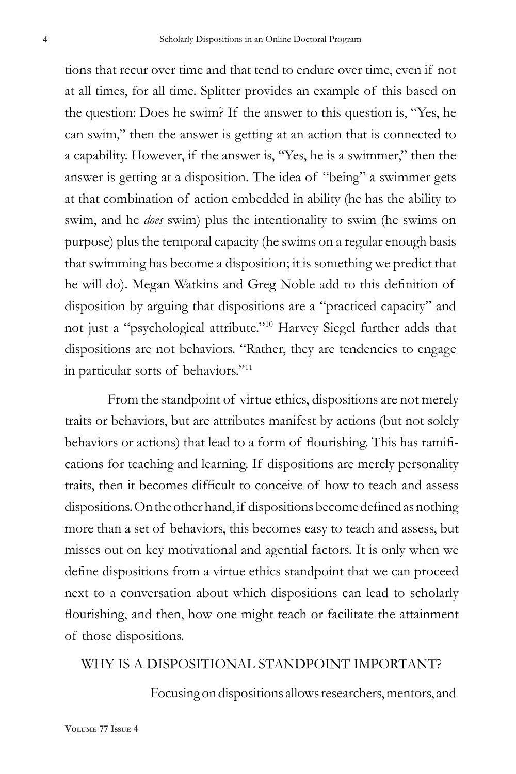tions that recur over time and that tend to endure over time, even if not at all times, for all time. Splitter provides an example of this based on the question: Does he swim? If the answer to this question is, "Yes, he can swim," then the answer is getting at an action that is connected to a capability. However, if the answer is, "Yes, he is a swimmer," then the answer is getting at a disposition. The idea of "being" a swimmer gets at that combination of action embedded in ability (he has the ability to swim, and he *does* swim) plus the intentionality to swim (he swims on purpose) plus the temporal capacity (he swims on a regular enough basis that swimming has become a disposition; it is something we predict that he will do). Megan Watkins and Greg Noble add to this definition of disposition by arguing that dispositions are a "practiced capacity" and not just a "psychological attribute."<sup>10</sup> Harvey Siegel further adds that dispositions are not behaviors. "Rather, they are tendencies to engage in particular sorts of behaviors."<sup>11</sup>

From the standpoint of virtue ethics, dispositions are not merely traits or behaviors, but are attributes manifest by actions (but not solely behaviors or actions) that lead to a form of flourishing. This has ramifications for teaching and learning. If dispositions are merely personality traits, then it becomes difficult to conceive of how to teach and assess dispositions. On the other hand, if dispositions become defined as nothing more than a set of behaviors, this becomes easy to teach and assess, but misses out on key motivational and agential factors. It is only when we define dispositions from a virtue ethics standpoint that we can proceed next to a conversation about which dispositions can lead to scholarly flourishing, and then, how one might teach or facilitate the attainment of those dispositions.

#### WHY IS A DISPOSITIONAL STANDPOINT IMPORTANT?

Focusing on dispositions allows researchers, mentors, and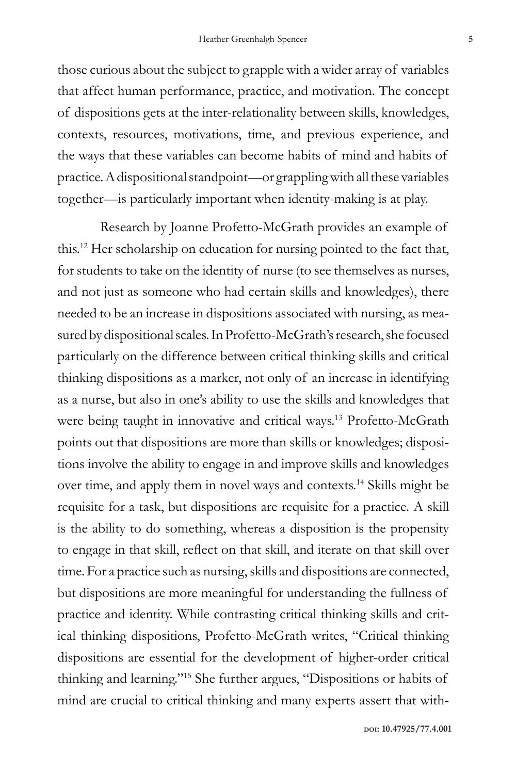those curious about the subject to grapple with a wider array of variables that affect human performance, practice, and motivation. The concept of dispositions gets at the inter-relationality between skills, knowledges, contexts, resources, motivations, time, and previous experience, and the ways that these variables can become habits of mind and habits of practice. A dispositional standpoint—or grappling with all these variables together—is particularly important when identity-making is at play.

Research by Joanne Profetto-McGrath provides an example of this.12 Her scholarship on education for nursing pointed to the fact that, for students to take on the identity of nurse (to see themselves as nurses, and not just as someone who had certain skills and knowledges), there needed to be an increase in dispositions associated with nursing, as measured by dispositional scales. In Profetto-McGrath's research, she focused particularly on the difference between critical thinking skills and critical thinking dispositions as a marker, not only of an increase in identifying as a nurse, but also in one's ability to use the skills and knowledges that were being taught in innovative and critical ways.<sup>13</sup> Profetto-McGrath points out that dispositions are more than skills or knowledges; dispositions involve the ability to engage in and improve skills and knowledges over time, and apply them in novel ways and contexts.<sup>14</sup> Skills might be requisite for a task, but dispositions are requisite for a practice. A skill is the ability to do something, whereas a disposition is the propensity to engage in that skill, reflect on that skill, and iterate on that skill over time. For a practice such as nursing, skills and dispositions are connected, but dispositions are more meaningful for understanding the fullness of practice and identity. While contrasting critical thinking skills and critical thinking dispositions, Profetto-McGrath writes, "Critical thinking dispositions are essential for the development of higher-order critical thinking and learning."15 She further argues, "Dispositions or habits of mind are crucial to critical thinking and many experts assert that with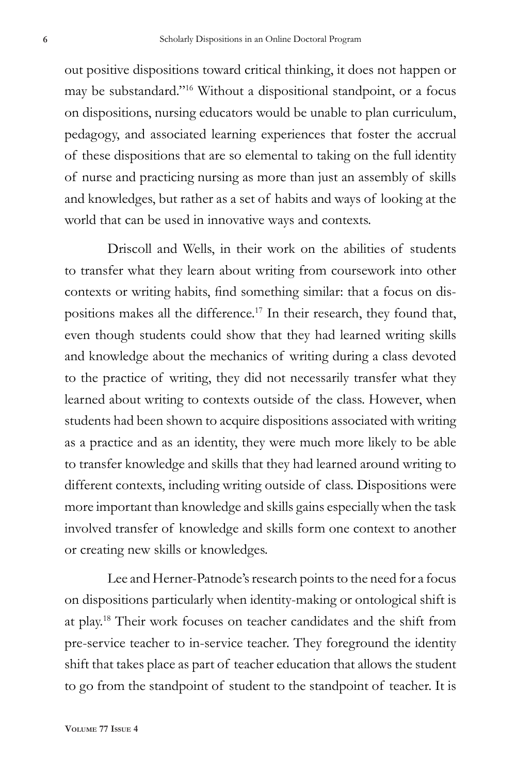out positive dispositions toward critical thinking, it does not happen or may be substandard."<sup>16</sup> Without a dispositional standpoint, or a focus on dispositions, nursing educators would be unable to plan curriculum, pedagogy, and associated learning experiences that foster the accrual of these dispositions that are so elemental to taking on the full identity of nurse and practicing nursing as more than just an assembly of skills and knowledges, but rather as a set of habits and ways of looking at the world that can be used in innovative ways and contexts.

Driscoll and Wells, in their work on the abilities of students to transfer what they learn about writing from coursework into other contexts or writing habits, find something similar: that a focus on dispositions makes all the difference.<sup>17</sup> In their research, they found that, even though students could show that they had learned writing skills and knowledge about the mechanics of writing during a class devoted to the practice of writing, they did not necessarily transfer what they learned about writing to contexts outside of the class. However, when students had been shown to acquire dispositions associated with writing as a practice and as an identity, they were much more likely to be able to transfer knowledge and skills that they had learned around writing to different contexts, including writing outside of class. Dispositions were more important than knowledge and skills gains especially when the task involved transfer of knowledge and skills form one context to another or creating new skills or knowledges.

Lee and Herner-Patnode's research points to the need for a focus on dispositions particularly when identity-making or ontological shift is at play.18 Their work focuses on teacher candidates and the shift from pre-service teacher to in-service teacher. They foreground the identity shift that takes place as part of teacher education that allows the student to go from the standpoint of student to the standpoint of teacher. It is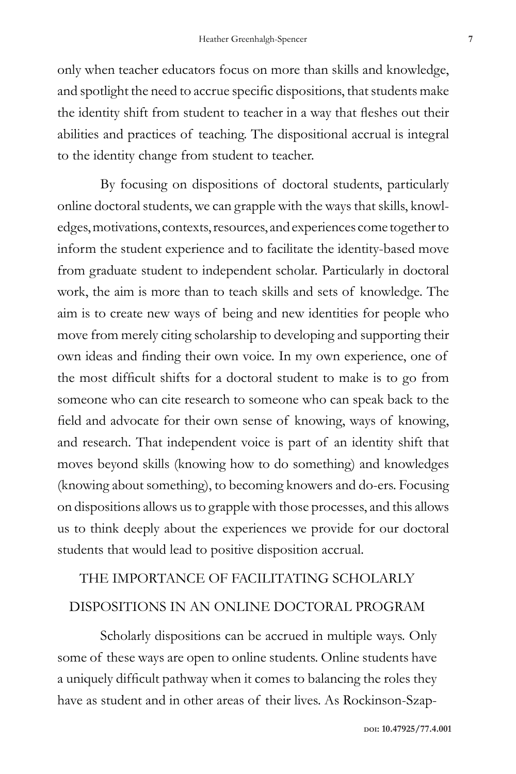only when teacher educators focus on more than skills and knowledge, and spotlight the need to accrue specific dispositions, that students make the identity shift from student to teacher in a way that fleshes out their abilities and practices of teaching. The dispositional accrual is integral to the identity change from student to teacher.

By focusing on dispositions of doctoral students, particularly online doctoral students, we can grapple with the ways that skills, knowledges, motivations, contexts, resources, and experiences come together to inform the student experience and to facilitate the identity-based move from graduate student to independent scholar. Particularly in doctoral work, the aim is more than to teach skills and sets of knowledge. The aim is to create new ways of being and new identities for people who move from merely citing scholarship to developing and supporting their own ideas and finding their own voice. In my own experience, one of the most difficult shifts for a doctoral student to make is to go from someone who can cite research to someone who can speak back to the field and advocate for their own sense of knowing, ways of knowing, and research. That independent voice is part of an identity shift that moves beyond skills (knowing how to do something) and knowledges (knowing about something), to becoming knowers and do-ers. Focusing on dispositions allows us to grapple with those processes, and this allows us to think deeply about the experiences we provide for our doctoral students that would lead to positive disposition accrual.

# THE IMPORTANCE OF FACILITATING SCHOLARLY DISPOSITIONS IN AN ONLINE DOCTORAL PROGRAM

Scholarly dispositions can be accrued in multiple ways. Only some of these ways are open to online students. Online students have a uniquely difficult pathway when it comes to balancing the roles they have as student and in other areas of their lives. As Rockinson-Szap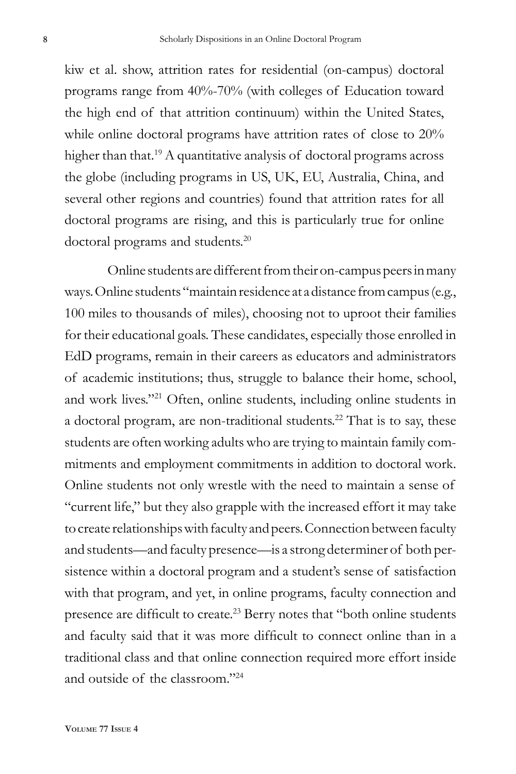kiw et al. show, attrition rates for residential (on-campus) doctoral programs range from 40%-70% (with colleges of Education toward the high end of that attrition continuum) within the United States, while online doctoral programs have attrition rates of close to  $20\%$ higher than that.<sup>19</sup> A quantitative analysis of doctoral programs across the globe (including programs in US, UK, EU, Australia, China, and several other regions and countries) found that attrition rates for all doctoral programs are rising, and this is particularly true for online doctoral programs and students.<sup>20</sup>

Online students are different from their on-campus peers in many ways. Online students "maintain residence at a distance from campus (e.g., 100 miles to thousands of miles), choosing not to uproot their families for their educational goals. These candidates, especially those enrolled in EdD programs, remain in their careers as educators and administrators of academic institutions; thus, struggle to balance their home, school, and work lives."21 Often, online students, including online students in a doctoral program, are non-traditional students.<sup>22</sup> That is to say, these students are often working adults who are trying to maintain family commitments and employment commitments in addition to doctoral work. Online students not only wrestle with the need to maintain a sense of "current life," but they also grapple with the increased effort it may take to create relationships with faculty and peers. Connection between faculty and students—and faculty presence—is a strong determiner of both persistence within a doctoral program and a student's sense of satisfaction with that program, and yet, in online programs, faculty connection and presence are difficult to create.<sup>23</sup> Berry notes that "both online students and faculty said that it was more difficult to connect online than in a traditional class and that online connection required more effort inside and outside of the classroom."24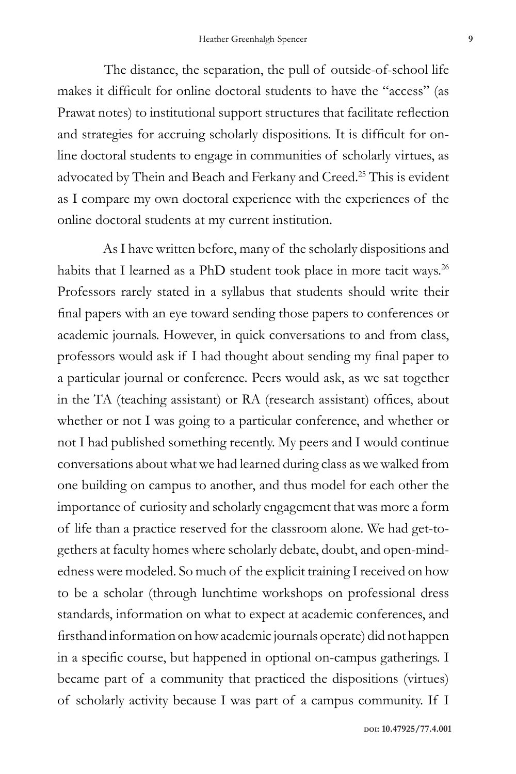The distance, the separation, the pull of outside-of-school life makes it difficult for online doctoral students to have the "access" (as Prawat notes) to institutional support structures that facilitate reflection and strategies for accruing scholarly dispositions. It is difficult for online doctoral students to engage in communities of scholarly virtues, as advocated by Thein and Beach and Ferkany and Creed.25 This is evident as I compare my own doctoral experience with the experiences of the online doctoral students at my current institution.

 As I have written before, many of the scholarly dispositions and habits that I learned as a PhD student took place in more tacit ways.<sup>26</sup> Professors rarely stated in a syllabus that students should write their final papers with an eye toward sending those papers to conferences or academic journals. However, in quick conversations to and from class, professors would ask if I had thought about sending my final paper to a particular journal or conference. Peers would ask, as we sat together in the TA (teaching assistant) or RA (research assistant) offices, about whether or not I was going to a particular conference, and whether or not I had published something recently. My peers and I would continue conversations about what we had learned during class as we walked from one building on campus to another, and thus model for each other the importance of curiosity and scholarly engagement that was more a form of life than a practice reserved for the classroom alone. We had get-togethers at faculty homes where scholarly debate, doubt, and open-mindedness were modeled. So much of the explicit training I received on how to be a scholar (through lunchtime workshops on professional dress standards, information on what to expect at academic conferences, and firsthand information on how academic journals operate) did not happen in a specific course, but happened in optional on-campus gatherings. I became part of a community that practiced the dispositions (virtues) of scholarly activity because I was part of a campus community. If I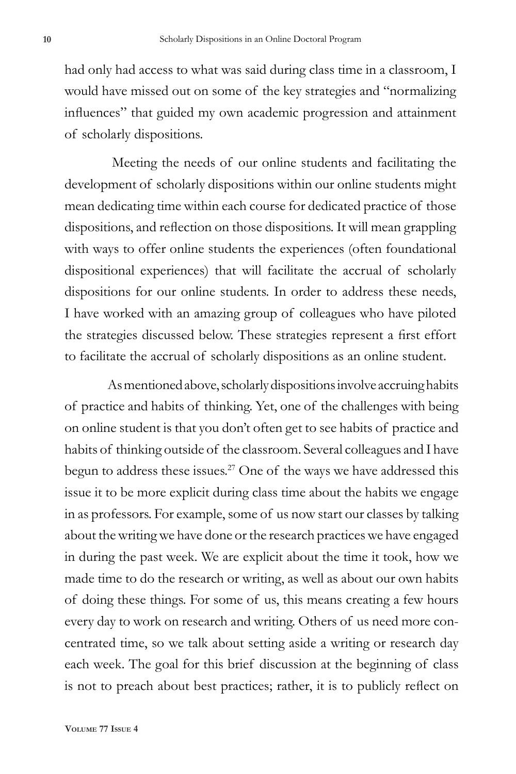had only had access to what was said during class time in a classroom, I would have missed out on some of the key strategies and "normalizing influences" that guided my own academic progression and attainment of scholarly dispositions.

 Meeting the needs of our online students and facilitating the development of scholarly dispositions within our online students might mean dedicating time within each course for dedicated practice of those dispositions, and reflection on those dispositions. It will mean grappling with ways to offer online students the experiences (often foundational dispositional experiences) that will facilitate the accrual of scholarly dispositions for our online students. In order to address these needs, I have worked with an amazing group of colleagues who have piloted the strategies discussed below. These strategies represent a first effort to facilitate the accrual of scholarly dispositions as an online student.

As mentioned above, scholarly dispositions involve accruing habits of practice and habits of thinking. Yet, one of the challenges with being on online student is that you don't often get to see habits of practice and habits of thinking outside of the classroom. Several colleagues and I have begun to address these issues.<sup>27</sup> One of the ways we have addressed this issue it to be more explicit during class time about the habits we engage in as professors. For example, some of us now start our classes by talking about the writing we have done or the research practices we have engaged in during the past week. We are explicit about the time it took, how we made time to do the research or writing, as well as about our own habits of doing these things. For some of us, this means creating a few hours every day to work on research and writing. Others of us need more concentrated time, so we talk about setting aside a writing or research day each week. The goal for this brief discussion at the beginning of class is not to preach about best practices; rather, it is to publicly reflect on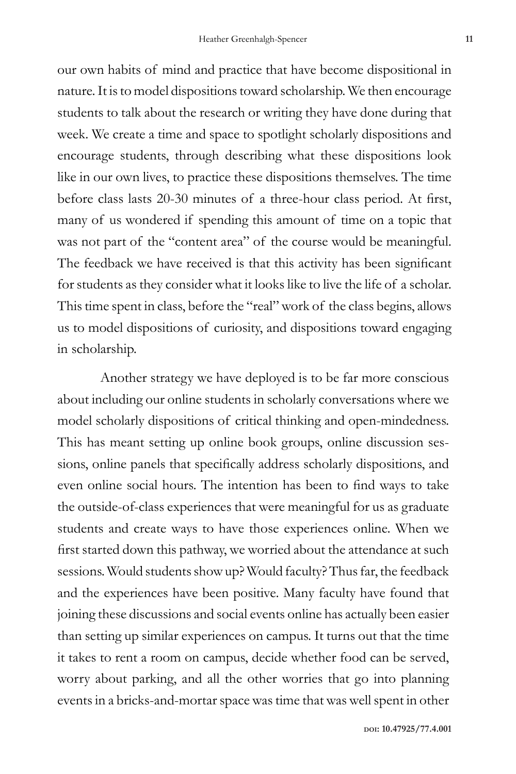our own habits of mind and practice that have become dispositional in nature. It is to model dispositions toward scholarship. We then encourage students to talk about the research or writing they have done during that week. We create a time and space to spotlight scholarly dispositions and encourage students, through describing what these dispositions look like in our own lives, to practice these dispositions themselves. The time before class lasts 20-30 minutes of a three-hour class period. At first, many of us wondered if spending this amount of time on a topic that was not part of the "content area" of the course would be meaningful. The feedback we have received is that this activity has been significant for students as they consider what it looks like to live the life of a scholar. This time spent in class, before the "real" work of the class begins, allows us to model dispositions of curiosity, and dispositions toward engaging in scholarship.

Another strategy we have deployed is to be far more conscious about including our online students in scholarly conversations where we model scholarly dispositions of critical thinking and open-mindedness. This has meant setting up online book groups, online discussion sessions, online panels that specifically address scholarly dispositions, and even online social hours. The intention has been to find ways to take the outside-of-class experiences that were meaningful for us as graduate students and create ways to have those experiences online. When we first started down this pathway, we worried about the attendance at such sessions. Would students show up? Would faculty? Thus far, the feedback and the experiences have been positive. Many faculty have found that joining these discussions and social events online has actually been easier than setting up similar experiences on campus. It turns out that the time it takes to rent a room on campus, decide whether food can be served, worry about parking, and all the other worries that go into planning events in a bricks-and-mortar space was time that was well spent in other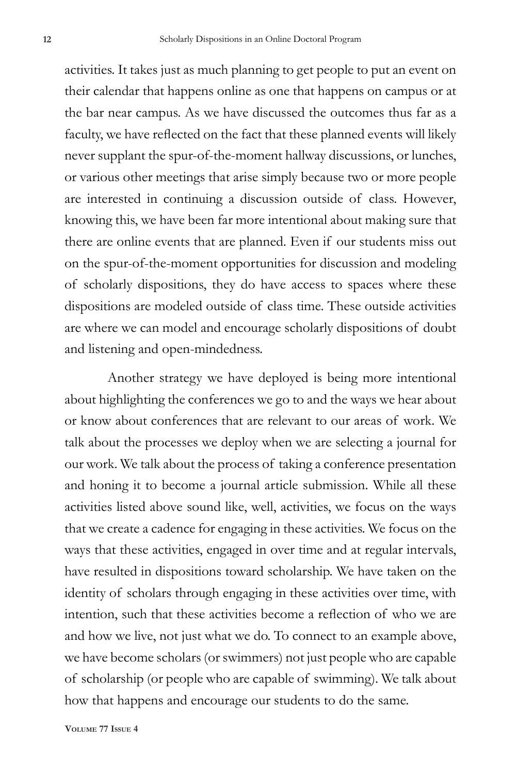activities. It takes just as much planning to get people to put an event on their calendar that happens online as one that happens on campus or at the bar near campus. As we have discussed the outcomes thus far as a faculty, we have reflected on the fact that these planned events will likely never supplant the spur-of-the-moment hallway discussions, or lunches, or various other meetings that arise simply because two or more people are interested in continuing a discussion outside of class. However, knowing this, we have been far more intentional about making sure that there are online events that are planned. Even if our students miss out on the spur-of-the-moment opportunities for discussion and modeling of scholarly dispositions, they do have access to spaces where these dispositions are modeled outside of class time. These outside activities are where we can model and encourage scholarly dispositions of doubt and listening and open-mindedness.

Another strategy we have deployed is being more intentional about highlighting the conferences we go to and the ways we hear about or know about conferences that are relevant to our areas of work. We talk about the processes we deploy when we are selecting a journal for our work. We talk about the process of taking a conference presentation and honing it to become a journal article submission. While all these activities listed above sound like, well, activities, we focus on the ways that we create a cadence for engaging in these activities. We focus on the ways that these activities, engaged in over time and at regular intervals, have resulted in dispositions toward scholarship. We have taken on the identity of scholars through engaging in these activities over time, with intention, such that these activities become a reflection of who we are and how we live, not just what we do. To connect to an example above, we have become scholars (or swimmers) not just people who are capable of scholarship (or people who are capable of swimming). We talk about how that happens and encourage our students to do the same.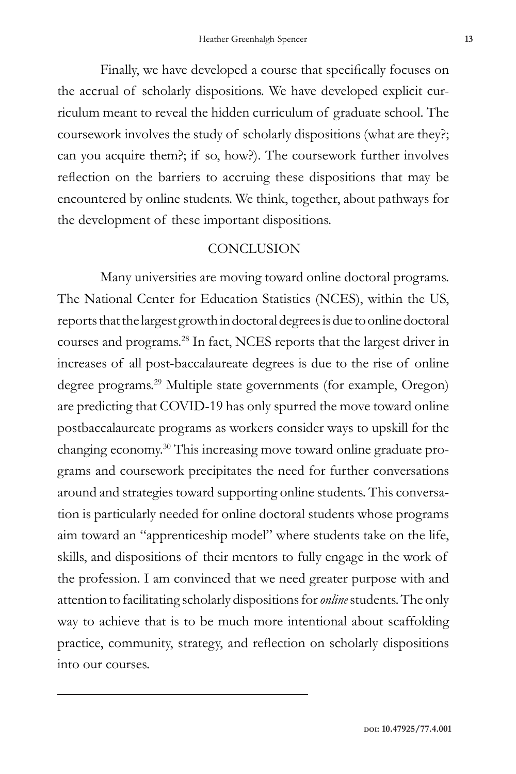Finally, we have developed a course that specifically focuses on the accrual of scholarly dispositions. We have developed explicit curriculum meant to reveal the hidden curriculum of graduate school. The coursework involves the study of scholarly dispositions (what are they?; can you acquire them?; if so, how?). The coursework further involves reflection on the barriers to accruing these dispositions that may be encountered by online students. We think, together, about pathways for the development of these important dispositions.

## **CONCLUSION**

Many universities are moving toward online doctoral programs. The National Center for Education Statistics (NCES), within the US, reports that the largest growth in doctoral degrees is due to online doctoral courses and programs.28 In fact, NCES reports that the largest driver in increases of all post-baccalaureate degrees is due to the rise of online degree programs.29 Multiple state governments (for example, Oregon) are predicting that COVID-19 has only spurred the move toward online postbaccalaureate programs as workers consider ways to upskill for the changing economy.30 This increasing move toward online graduate programs and coursework precipitates the need for further conversations around and strategies toward supporting online students. This conversation is particularly needed for online doctoral students whose programs aim toward an "apprenticeship model" where students take on the life, skills, and dispositions of their mentors to fully engage in the work of the profession. I am convinced that we need greater purpose with and attention to facilitating scholarly dispositions for *online* students. The only way to achieve that is to be much more intentional about scaffolding practice, community, strategy, and reflection on scholarly dispositions into our courses.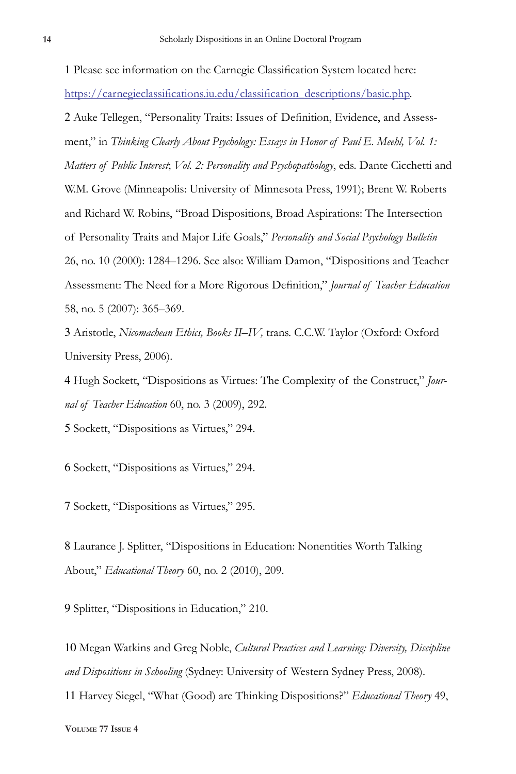1 Please see information on the Carnegie Classification System located here: https://carnegieclassifications.iu.edu/classification\_descriptions/basic.php.

2 Auke Tellegen, "Personality Traits: Issues of Definition, Evidence, and Assessment," in *Thinking Clearly About Psychology: Essays in Honor of Paul E. Meehl, Vol. 1: Matters of Public Interest*; *Vol. 2: Personality and Psychopathology*, eds. Dante Cicchetti and W.M. Grove (Minneapolis: University of Minnesota Press, 1991); Brent W. Roberts and Richard W. Robins, "Broad Dispositions, Broad Aspirations: The Intersection of Personality Traits and Major Life Goals," *Personality and Social Psychology Bulletin* 26, no. 10 (2000): 1284–1296. See also: William Damon, "Dispositions and Teacher Assessment: The Need for a More Rigorous Definition," *Journal of Teacher Education* 58, no. 5 (2007): 365–369.

3 Aristotle, *Nicomachean Ethics, Books II–IV,* trans. C.C.W. Taylor (Oxford: Oxford University Press, 2006).

4 Hugh Sockett, "Dispositions as Virtues: The Complexity of the Construct," *Journal of Teacher Education* 60, no. 3 (2009), 292.

5 Sockett, "Dispositions as Virtues," 294.

6 Sockett, "Dispositions as Virtues," 294.

7 Sockett, "Dispositions as Virtues," 295.

8 Laurance J. Splitter, "Dispositions in Education: Nonentities Worth Talking About," *Educational Theory* 60, no. 2 (2010), 209.

9 Splitter, "Dispositions in Education," 210.

10 Megan Watkins and Greg Noble, *Cultural Practices and Learning: Diversity, Discipline and Dispositions in Schooling* (Sydney: University of Western Sydney Press, 2008). 11 Harvey Siegel, "What (Good) are Thinking Dispositions?" *Educational Theory* 49,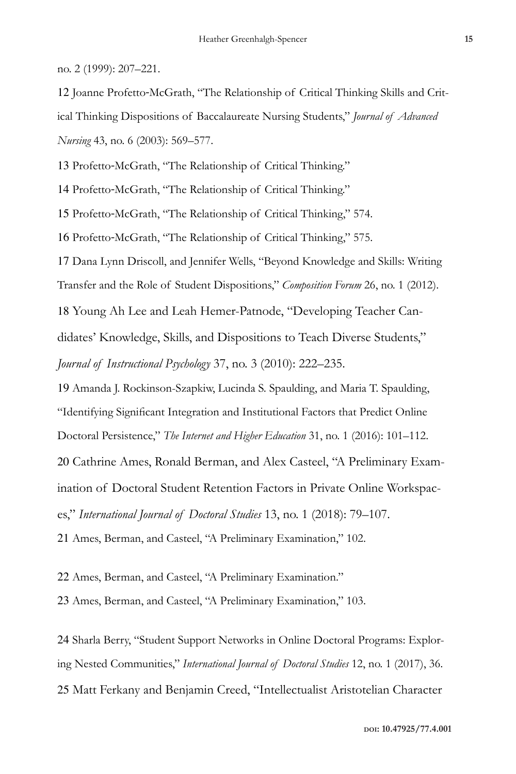no. 2 (1999): 207–221.

12 Joanne Profetto‐McGrath, "The Relationship of Critical Thinking Skills and Critical Thinking Dispositions of Baccalaureate Nursing Students," *Journal of Advanced Nursing* 43, no. 6 (2003): 569-577.

13 Profetto‐McGrath, "The Relationship of Critical Thinking."

14 Profetto-McGrath, "The Relationship of Critical Thinking."

15 Profetto‐McGrath, "The Relationship of Critical Thinking," 574.

16 Profetto‐McGrath, "The Relationship of Critical Thinking," 575.

17 Dana Lynn Driscoll, and Jennifer Wells, "Beyond Knowledge and Skills: Writing Transfer and the Role of Student Dispositions," *Composition Forum* 26, no. 1 (2012).

18 Young Ah Lee and Leah Hemer-Patnode, "Developing Teacher Can-

didates' Knowledge, Skills, and Dispositions to Teach Diverse Students,"

*Journal of Instructional Psychology* 37, no. 3 (2010): 222–235.

19 Amanda J. Rockinson-Szapkiw, Lucinda S. Spaulding, and Maria T. Spaulding, "Identifying Significant Integration and Institutional Factors that Predict Online Doctoral Persistence," *The Internet and Higher Education* 31, no. 1 (2016): 101–112.

20 Cathrine Ames, Ronald Berman, and Alex Casteel, "A Preliminary Exam-

ination of Doctoral Student Retention Factors in Private Online Workspac-

es," *International Journal of Doctoral Studies* 13, no. 1 (2018): 79–107.

21 Ames, Berman, and Casteel, "A Preliminary Examination," 102.

22 Ames, Berman, and Casteel, "A Preliminary Examination."

23 Ames, Berman, and Casteel, "A Preliminary Examination," 103.

24 Sharla Berry, "Student Support Networks in Online Doctoral Programs: Exploring Nested Communities," *International Journal of Doctoral Studies* 12, no. 1 (2017), 36. 25 Matt Ferkany and Benjamin Creed, "Intellectualist Aristotelian Character